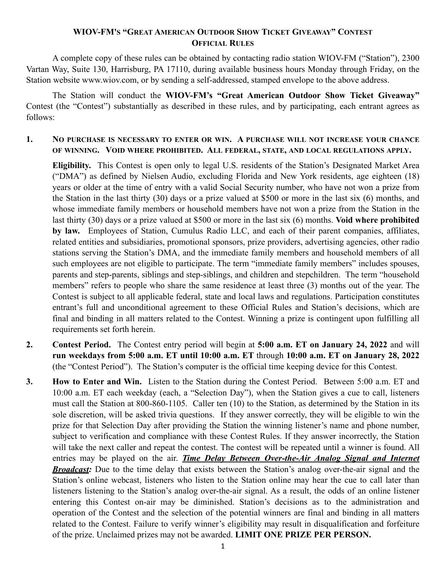## **WIOV-FM'S "GREAT AMERICAN OUTDOOR SHOW TICKET GIVEAWAY" CONTEST OFFICIAL RULES**

A complete copy of these rules can be obtained by contacting radio station WIOV-FM ("Station"), 2300 Vartan Way, Suite 130, Harrisburg, PA 17110, during available business hours Monday through Friday, on the Station website www.wiov.com, or by sending a self-addressed, stamped envelope to the above address.

The Station will conduct the **WIOV-FM's "Great American Outdoor Show Ticket Giveaway"**  Contest (the "Contest") substantially as described in these rules, and by participating, each entrant agrees as follows:

## **1. NO PURCHASE IS NECESSARY TO ENTER OR WIN. A PURCHASE WILL NOT INCREASE YOUR CHANCE OF WINNING. VOID WHERE PROHIBITED. ALL FEDERAL, STATE, AND LOCAL REGULATIONS APPLY.**

**Eligibility.** This Contest is open only to legal U.S. residents of the Station's Designated Market Area ("DMA") as defined by Nielsen Audio, excluding Florida and New York residents, age eighteen (18) years or older at the time of entry with a valid Social Security number, who have not won a prize from the Station in the last thirty (30) days or a prize valued at \$500 or more in the last six (6) months, and whose immediate family members or household members have not won a prize from the Station in the last thirty (30) days or a prize valued at \$500 or more in the last six (6) months. **Void where prohibited by law.** Employees of Station, Cumulus Radio LLC, and each of their parent companies, affiliates, related entities and subsidiaries, promotional sponsors, prize providers, advertising agencies, other radio stations serving the Station's DMA, and the immediate family members and household members of all such employees are not eligible to participate. The term "immediate family members" includes spouses, parents and step-parents, siblings and step-siblings, and children and stepchildren. The term "household members" refers to people who share the same residence at least three (3) months out of the year. The Contest is subject to all applicable federal, state and local laws and regulations. Participation constitutes entrant's full and unconditional agreement to these Official Rules and Station's decisions, which are final and binding in all matters related to the Contest. Winning a prize is contingent upon fulfilling all requirements set forth herein.

- **2. Contest Period.** The Contest entry period will begin at **5:00 a.m. ET on January 24, 2022** and will **run weekdays from 5:00 a.m. ET until 10:00 a.m. ET** through **10:00 a.m. ET on January 28, 2022**  (the "Contest Period"). The Station's computer is the official time keeping device for this Contest.
- **3. How to Enter and Win.** Listen to the Station during the Contest Period. Between 5:00 a.m. ET and 10:00 a.m. ET each weekday (each, a "Selection Day"), when the Station gives a cue to call, listeners must call the Station at 800-860-1105. Caller ten (10) to the Station, as determined by the Station in its sole discretion, will be asked trivia questions. If they answer correctly, they will be eligible to win the prize for that Selection Day after providing the Station the winning listener's name and phone number, subject to verification and compliance with these Contest Rules. If they answer incorrectly, the Station will take the next caller and repeat the contest. The contest will be repeated until a winner is found. All entries may be played on the air. *Time Delay Between Over-the-Air Analog Signal and Internet Broadcast:* Due to the time delay that exists between the Station's analog over-the-air signal and the Station's online webcast, listeners who listen to the Station online may hear the cue to call later than listeners listening to the Station's analog over-the-air signal. As a result, the odds of an online listener entering this Contest on-air may be diminished. Station's decisions as to the administration and operation of the Contest and the selection of the potential winners are final and binding in all matters related to the Contest. Failure to verify winner's eligibility may result in disqualification and forfeiture of the prize. Unclaimed prizes may not be awarded. **LIMIT ONE PRIZE PER PERSON.**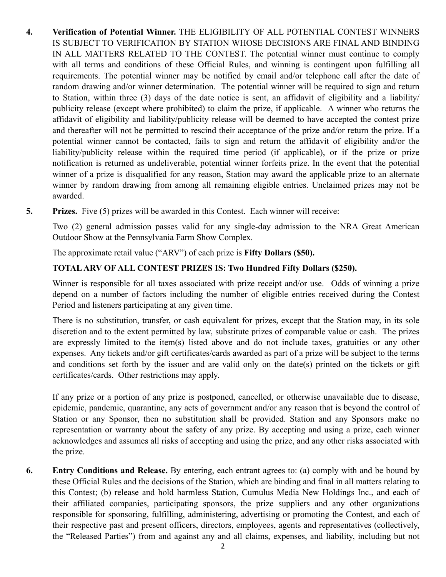- **4. Verification of Potential Winner.** THE ELIGIBILITY OF ALL POTENTIAL CONTEST WINNERS IS SUBJECT TO VERIFICATION BY STATION WHOSE DECISIONS ARE FINAL AND BINDING IN ALL MATTERS RELATED TO THE CONTEST. The potential winner must continue to comply with all terms and conditions of these Official Rules, and winning is contingent upon fulfilling all requirements. The potential winner may be notified by email and/or telephone call after the date of random drawing and/or winner determination. The potential winner will be required to sign and return to Station, within three (3) days of the date notice is sent, an affidavit of eligibility and a liability/ publicity release (except where prohibited) to claim the prize, if applicable. A winner who returns the affidavit of eligibility and liability/publicity release will be deemed to have accepted the contest prize and thereafter will not be permitted to rescind their acceptance of the prize and/or return the prize. If a potential winner cannot be contacted, fails to sign and return the affidavit of eligibility and/or the liability/publicity release within the required time period (if applicable), or if the prize or prize notification is returned as undeliverable, potential winner forfeits prize. In the event that the potential winner of a prize is disqualified for any reason, Station may award the applicable prize to an alternate winner by random drawing from among all remaining eligible entries. Unclaimed prizes may not be awarded.
- **5. Prizes.** Five (5) prizes will be awarded in this Contest. Each winner will receive:

Two (2) general admission passes valid for any single-day admission to the NRA Great American Outdoor Show at the Pennsylvania Farm Show Complex.

The approximate retail value ("ARV") of each prize is **Fifty Dollars (\$50).**

## **TOTAL ARV OF ALL CONTEST PRIZES IS: Two Hundred Fifty Dollars (\$250).**

Winner is responsible for all taxes associated with prize receipt and/or use. Odds of winning a prize depend on a number of factors including the number of eligible entries received during the Contest Period and listeners participating at any given time.

There is no substitution, transfer, or cash equivalent for prizes, except that the Station may, in its sole discretion and to the extent permitted by law, substitute prizes of comparable value or cash. The prizes are expressly limited to the item(s) listed above and do not include taxes, gratuities or any other expenses. Any tickets and/or gift certificates/cards awarded as part of a prize will be subject to the terms and conditions set forth by the issuer and are valid only on the date(s) printed on the tickets or gift certificates/cards. Other restrictions may apply.

If any prize or a portion of any prize is postponed, cancelled, or otherwise unavailable due to disease, epidemic, pandemic, quarantine, any acts of government and/or any reason that is beyond the control of Station or any Sponsor, then no substitution shall be provided. Station and any Sponsors make no representation or warranty about the safety of any prize. By accepting and using a prize, each winner acknowledges and assumes all risks of accepting and using the prize, and any other risks associated with the prize.

**6. Entry Conditions and Release.** By entering, each entrant agrees to: (a) comply with and be bound by these Official Rules and the decisions of the Station, which are binding and final in all matters relating to this Contest; (b) release and hold harmless Station, Cumulus Media New Holdings Inc., and each of their affiliated companies, participating sponsors, the prize suppliers and any other organizations responsible for sponsoring, fulfilling, administering, advertising or promoting the Contest, and each of their respective past and present officers, directors, employees, agents and representatives (collectively, the "Released Parties") from and against any and all claims, expenses, and liability, including but not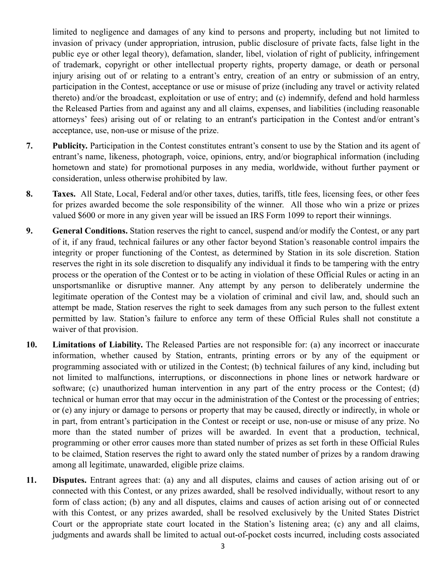limited to negligence and damages of any kind to persons and property, including but not limited to invasion of privacy (under appropriation, intrusion, public disclosure of private facts, false light in the public eye or other legal theory), defamation, slander, libel, violation of right of publicity, infringement of trademark, copyright or other intellectual property rights, property damage, or death or personal injury arising out of or relating to a entrant's entry, creation of an entry or submission of an entry, participation in the Contest, acceptance or use or misuse of prize (including any travel or activity related thereto) and/or the broadcast, exploitation or use of entry; and (c) indemnify, defend and hold harmless the Released Parties from and against any and all claims, expenses, and liabilities (including reasonable attorneys' fees) arising out of or relating to an entrant's participation in the Contest and/or entrant's acceptance, use, non-use or misuse of the prize.

- **7. Publicity.** Participation in the Contest constitutes entrant's consent to use by the Station and its agent of entrant's name, likeness, photograph, voice, opinions, entry, and/or biographical information (including hometown and state) for promotional purposes in any media, worldwide, without further payment or consideration, unless otherwise prohibited by law.
- **8. Taxes.** All State, Local, Federal and/or other taxes, duties, tariffs, title fees, licensing fees, or other fees for prizes awarded become the sole responsibility of the winner. All those who win a prize or prizes valued \$600 or more in any given year will be issued an IRS Form 1099 to report their winnings.
- **9. General Conditions.** Station reserves the right to cancel, suspend and/or modify the Contest, or any part of it, if any fraud, technical failures or any other factor beyond Station's reasonable control impairs the integrity or proper functioning of the Contest, as determined by Station in its sole discretion. Station reserves the right in its sole discretion to disqualify any individual it finds to be tampering with the entry process or the operation of the Contest or to be acting in violation of these Official Rules or acting in an unsportsmanlike or disruptive manner. Any attempt by any person to deliberately undermine the legitimate operation of the Contest may be a violation of criminal and civil law, and, should such an attempt be made, Station reserves the right to seek damages from any such person to the fullest extent permitted by law. Station's failure to enforce any term of these Official Rules shall not constitute a waiver of that provision.
- **10. Limitations of Liability.** The Released Parties are not responsible for: (a) any incorrect or inaccurate information, whether caused by Station, entrants, printing errors or by any of the equipment or programming associated with or utilized in the Contest; (b) technical failures of any kind, including but not limited to malfunctions, interruptions, or disconnections in phone lines or network hardware or software; (c) unauthorized human intervention in any part of the entry process or the Contest; (d) technical or human error that may occur in the administration of the Contest or the processing of entries; or (e) any injury or damage to persons or property that may be caused, directly or indirectly, in whole or in part, from entrant's participation in the Contest or receipt or use, non-use or misuse of any prize. No more than the stated number of prizes will be awarded. In event that a production, technical, programming or other error causes more than stated number of prizes as set forth in these Official Rules to be claimed, Station reserves the right to award only the stated number of prizes by a random drawing among all legitimate, unawarded, eligible prize claims.
- **11. Disputes.** Entrant agrees that: (a) any and all disputes, claims and causes of action arising out of or connected with this Contest, or any prizes awarded, shall be resolved individually, without resort to any form of class action; (b) any and all disputes, claims and causes of action arising out of or connected with this Contest, or any prizes awarded, shall be resolved exclusively by the United States District Court or the appropriate state court located in the Station's listening area; (c) any and all claims, judgments and awards shall be limited to actual out-of-pocket costs incurred, including costs associated